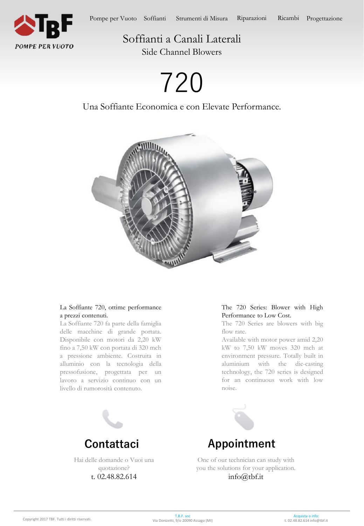

# Soffianti a Canali Laterali

Side Channel Blowers

# 720

### Una Soffiante Economica e con Elevate Performance.



#### La Soffiante 720, ottime performance a prezzi contenuti.

La Soffiante 720 fa parte della famiglia delle macchine di grande portata. Disponibile con motori da 2,20 kW fino a 7,50 kW con portata di 320 mch a pressione ambiente. Costruita in alluminio con la tecnologia della pressofusione, progettata per un lavoro a servizio continuo con un livello di rumorosità contenuto.



Hai delle domande o Vuoi una quotazione? t. 02.48.82.614

#### The 720 Series: Blower with High Performance to Low Cost.

The 720 Series are blowers with big flow rate.

Available with motor power amid 2,20 kW to 7,50 kW moves 320 mch at environment pressure. Totally built in aluminium with the die-casting technology, the 720 series is designed for an continuous work with low noise.



One of our technician can study with you the solutions for your application. info@tbf.it